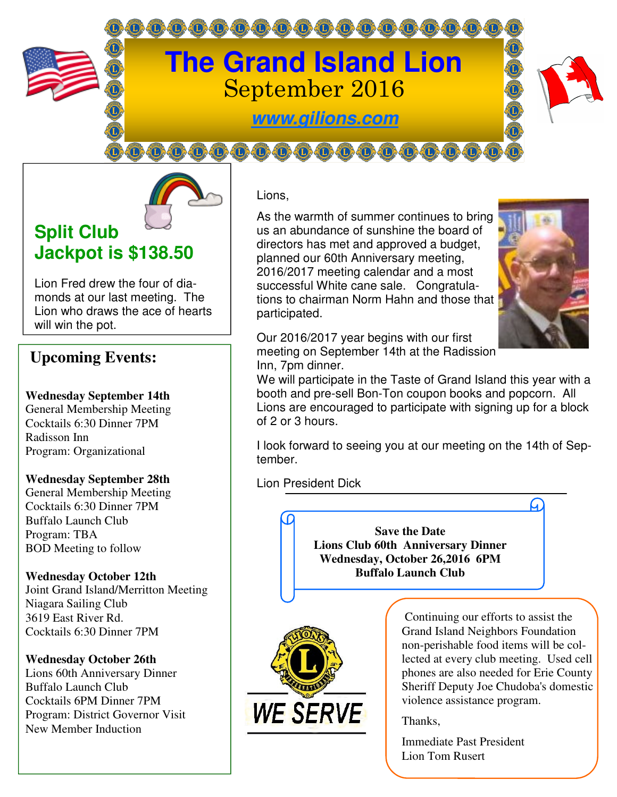

**www.gilions.com**

00000000000000000000



Lion Fred drew the four of diamonds at our last meeting. The Lion who draws the ace of hearts will win the pot.

# **Upcoming Events:**

**Wednesday September 14th** 

General Membership Meeting Cocktails 6:30 Dinner 7PM Radisson Inn Program: Organizational

#### **Wednesday September 28th**

General Membership Meeting Cocktails 6:30 Dinner 7PM Buffalo Launch Club Program: TBA BOD Meeting to follow

#### **Wednesday October 12th**

Joint Grand Island/Merritton Meeting Niagara Sailing Club 3619 East River Rd. Cocktails 6:30 Dinner 7PM

#### **Wednesday October 26th**

Lions 60th Anniversary Dinner Buffalo Launch Club Cocktails 6PM Dinner 7PM Program: District Governor Visit New Member Induction

Lions, Ī

As the warmth of summer continues to bring us an abundance of sunshine the board of directors has met and approved a budget, planned our 60th Anniversary meeting, 2016/2017 meeting calendar and a most successful White cane sale. Congratulations to chairman Norm Hahn and those that participated. Ì



Our 2016/2017 year begins with our first meeting on September 14th at the Radission Inn, 7pm dinner.

We will participate in the Taste of Grand Island this year with a booth and pre-sell Bon-Ton coupon books and popcorn. All Lions are encouraged to participate with signing up for a block of 2 or 3 hours.

I look forward to seeing you at our meeting on the 14th of September.

Lion President Dick

**Save the Date Lions Club 60th Anniversary Dinner Wednesday, October 26,2016 6PM Buffalo Launch Club** 



 Continuing our efforts to assist the Grand Island Neighbors Foundation non-perishable food items will be collected at every club meeting. Used cell phones are also needed for Erie County Sheriff Deputy Joe Chudoba's domestic violence assistance program.

Thanks,

Immediate Past President Lion Tom Rusert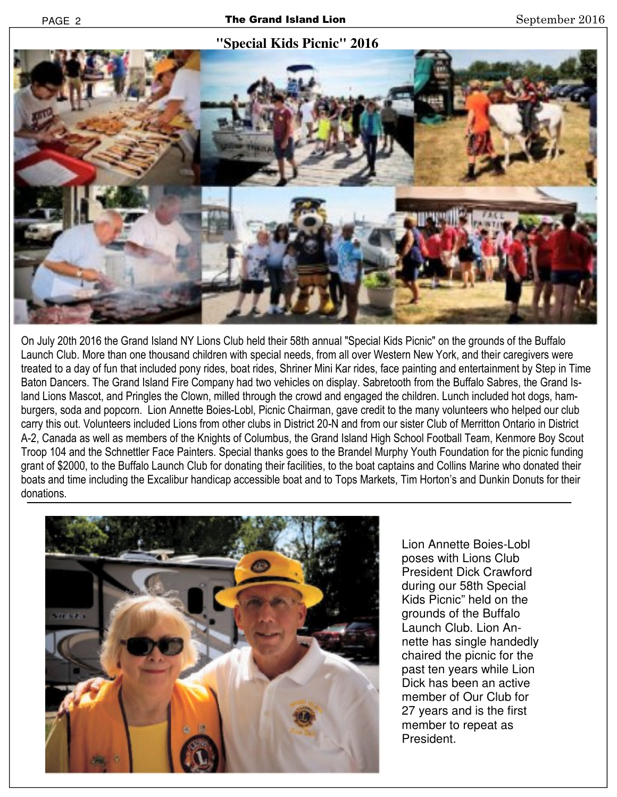### **"Special Kids Picnic" 2016**



On July 20th 2016 the Grand Island NY Lions Club held their 58th annual "Special Kids Picnic" on the grounds of the Buffalo Launch Club. More than one thousand children with special needs, from all over Western New York, and their caregivers were treated to a day of fun that included pony rides, boat rides, Shriner Mini Kar rides, face painting and entertainment by Step in Time Baton Dancers. The Grand Island Fire Company had two vehicles on display. Sabretooth from the Buffalo Sabres, the Grand Island Lions Mascot, and Pringles the Clown, milled through the crowd and engaged the children. Lunch included hot dogs, hamburgers, soda and popcorn. Lion Annette Boies-Lobl, Picnic Chairman, gave credit to the many volunteers who helped our club carry this out. Volunteers included Lions from other clubs in District 20-N and from our sister Club of Merritton Ontario in District A-2, Canada as well as members of the Knights of Columbus, the Grand Island High School Football Team, Kenmore Boy Scout Troop 104 and the Schnettler Face Painters. Special thanks goes to the Brandel Murphy Youth Foundation for the picnic funding grant of \$2000, to the Buffalo Launch Club for donating their facilities, to the boat captains and Collins Marine who donated their boats and time including the Excalibur handicap accessible boat and to Tops Markets, Tim Horton's and Dunkin Donuts for their donations.



Lion Annette Boies-Lobl poses with Lions Club President Dick Crawford during our 58th Special Kids Picnic" held on the grounds of the Buffalo Launch Club. Lion Annette has single handedly chaired the picnic for the past ten years while Lion Dick has been an active member of Our Club for 27 years and is the first member to repeat as President.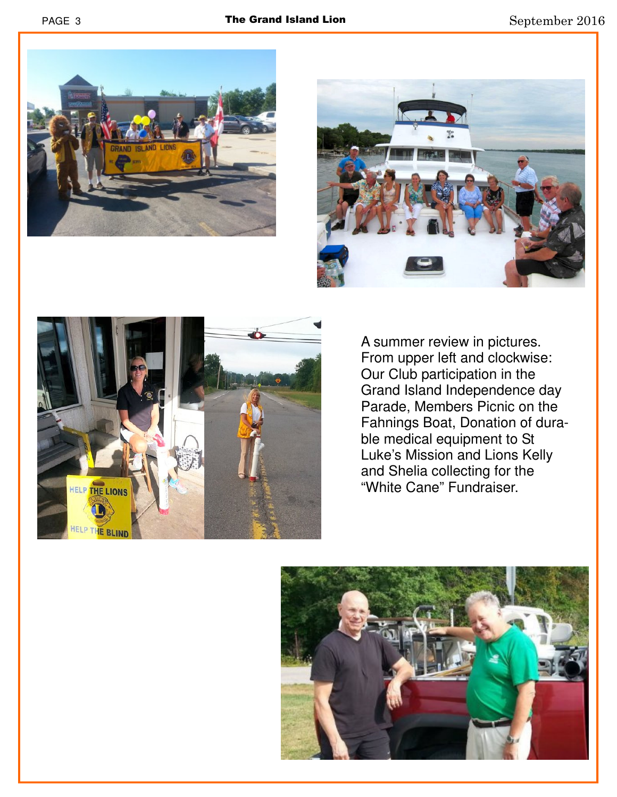





A summer review in pictures. From upper left and clockwise: Our Club participation in the Grand Island Independence day Parade, Members Picnic on the Fahnings Boat, Donation of durable medical equipment to St Luke's Mission and Lions Kelly and Shelia collecting for the "White Cane" Fundraiser.